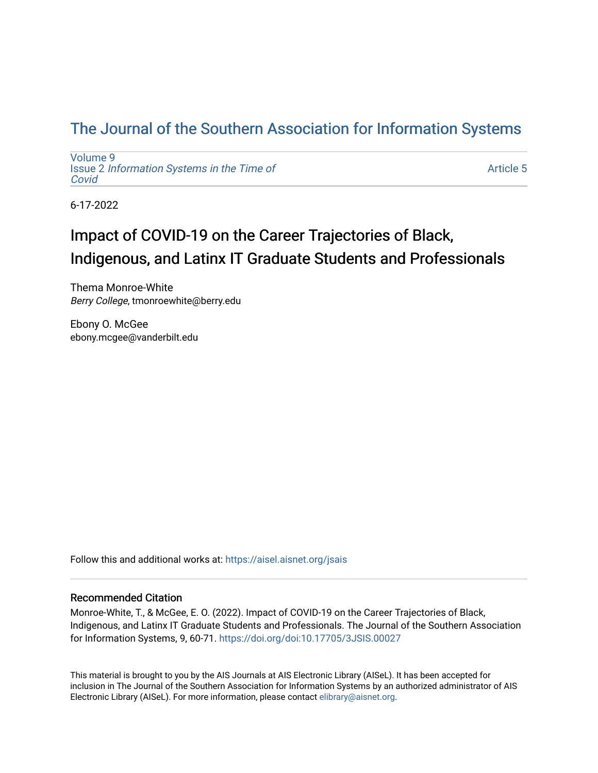## [The Journal of the Southern Association for Information Systems](https://aisel.aisnet.org/jsais)

[Volume 9](https://aisel.aisnet.org/jsais/vol9) Issue 2 [Information Systems in the Time of](https://aisel.aisnet.org/jsais/vol9/iss2)  [Covid](https://aisel.aisnet.org/jsais/vol9/iss2) 

[Article 5](https://aisel.aisnet.org/jsais/vol9/iss2/5) 

6-17-2022

# Impact of COVID-19 on the Career Trajectories of Black, Indigenous, and Latinx IT Graduate Students and Professionals

Thema Monroe-White Berry College, tmonroewhite@berry.edu

Ebony O. McGee ebony.mcgee@vanderbilt.edu

Follow this and additional works at: [https://aisel.aisnet.org/jsais](https://aisel.aisnet.org/jsais?utm_source=aisel.aisnet.org%2Fjsais%2Fvol9%2Fiss2%2F5&utm_medium=PDF&utm_campaign=PDFCoverPages) 

#### Recommended Citation

Monroe-White, T., & McGee, E. O. (2022). Impact of COVID-19 on the Career Trajectories of Black, Indigenous, and Latinx IT Graduate Students and Professionals. The Journal of the Southern Association for Information Systems, 9, 60-71. <https://doi.org/doi:10.17705/3JSIS.00027>

This material is brought to you by the AIS Journals at AIS Electronic Library (AISeL). It has been accepted for inclusion in The Journal of the Southern Association for Information Systems by an authorized administrator of AIS Electronic Library (AISeL). For more information, please contact [elibrary@aisnet.org.](mailto:elibrary@aisnet.org%3E)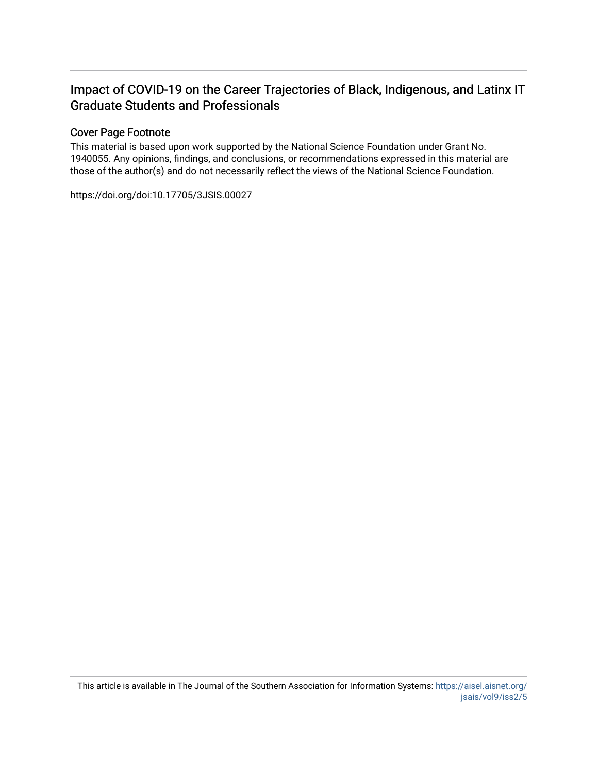### Impact of COVID-19 on the Career Trajectories of Black, Indigenous, and Latinx IT Graduate Students and Professionals

#### Cover Page Footnote

This material is based upon work supported by the National Science Foundation under Grant No. 1940055. Any opinions, findings, and conclusions, or recommendations expressed in this material are those of the author(s) and do not necessarily reflect the views of the National Science Foundation.

https://doi.org/doi:10.17705/3JSIS.00027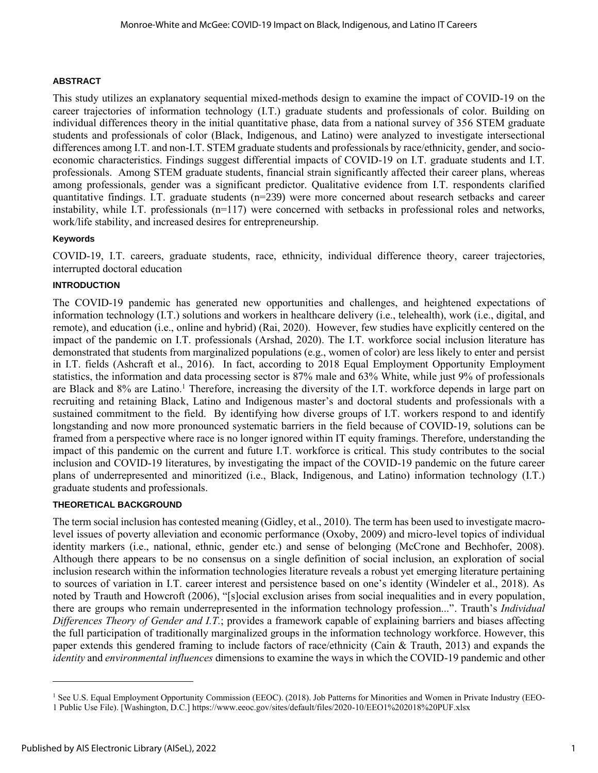#### **ABSTRACT**

This study utilizes an explanatory sequential mixed-methods design to examine the impact of COVID-19 on the career trajectories of information technology (I.T.) graduate students and professionals of color. Building on individual differences theory in the initial quantitative phase, data from a national survey of 356 STEM graduate students and professionals of color (Black, Indigenous, and Latino) were analyzed to investigate intersectional differences among I.T. and non-I.T. STEM graduate students and professionals by race/ethnicity, gender, and socioeconomic characteristics. Findings suggest differential impacts of COVID-19 on I.T. graduate students and I.T. professionals. Among STEM graduate students, financial strain significantly affected their career plans, whereas among professionals, gender was a significant predictor. Qualitative evidence from I.T. respondents clarified quantitative findings. I.T. graduate students (n=239) were more concerned about research setbacks and career instability, while I.T. professionals (n=117) were concerned with setbacks in professional roles and networks, work/life stability, and increased desires for entrepreneurship.

#### **Keywords**

COVID-19, I.T. careers, graduate students, race, ethnicity, individual difference theory, career trajectories, interrupted doctoral education

#### **INTRODUCTION**

The COVID-19 pandemic has generated new opportunities and challenges, and heightened expectations of information technology (I.T.) solutions and workers in healthcare delivery (i.e., telehealth), work (i.e., digital, and remote), and education (i.e., online and hybrid) (Rai, 2020). However, few studies have explicitly centered on the impact of the pandemic on I.T. professionals (Arshad, 2020). The I.T. workforce social inclusion literature has demonstrated that students from marginalized populations (e.g., women of color) are less likely to enter and persist in I.T. fields (Ashcraft et al., 2016). In fact, according to 2018 Equal Employment Opportunity Employment statistics, the information and data processing sector is 87% male and 63% White, while just 9% of professionals are Black and 8% are Latino.<sup>1</sup> Therefore, increasing the diversity of the I.T. workforce depends in large part on recruiting and retaining Black, Latino and Indigenous master's and doctoral students and professionals with a sustained commitment to the field. By identifying how diverse groups of I.T. workers respond to and identify longstanding and now more pronounced systematic barriers in the field because of COVID-19, solutions can be framed from a perspective where race is no longer ignored within IT equity framings. Therefore, understanding the impact of this pandemic on the current and future I.T. workforce is critical. This study contributes to the social inclusion and COVID-19 literatures, by investigating the impact of the COVID-19 pandemic on the future career plans of underrepresented and minoritized (i.e., Black, Indigenous, and Latino) information technology (I.T.) graduate students and professionals.

#### **THEORETICAL BACKGROUND**

The term social inclusion has contested meaning (Gidley, et al., 2010). The term has been used to investigate macrolevel issues of poverty alleviation and economic performance (Oxoby, 2009) and micro-level topics of individual identity markers (i.e., national, ethnic, gender etc.) and sense of belonging (McCrone and Bechhofer, 2008). Although there appears to be no consensus on a single definition of social inclusion, an exploration of social inclusion research within the information technologies literature reveals a robust yet emerging literature pertaining to sources of variation in I.T. career interest and persistence based on one's identity (Windeler et al., 2018). As noted by Trauth and Howcroft (2006), "[s]ocial exclusion arises from social inequalities and in every population, there are groups who remain underrepresented in the information technology profession...". Trauth's *Individual Differences Theory of Gender and I.T.*; provides a framework capable of explaining barriers and biases affecting the full participation of traditionally marginalized groups in the information technology workforce. However, this paper extends this gendered framing to include factors of race/ethnicity (Cain & Trauth, 2013) and expands the *identity* and *environmental influences* dimensions to examine the ways in which the COVID-19 pandemic and other

<sup>&</sup>lt;sup>1</sup> See U.S. Equal Employment Opportunity Commission (EEOC). (2018). Job Patterns for Minorities and Women in Private Industry (EEO-

<sup>1</sup> Public Use File). [Washington, D.C.] https://www.eeoc.gov/sites/default/files/2020-10/EEO1%202018%20PUF.xlsx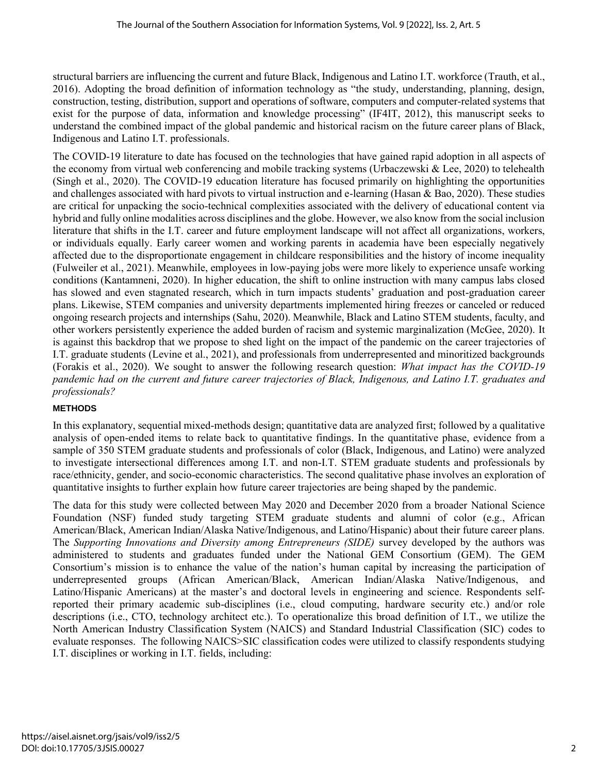structural barriers are influencing the current and future Black, Indigenous and Latino I.T. workforce (Trauth, et al., 2016). Adopting the broad definition of information technology as "the study, understanding, planning, design, construction, testing, distribution, support and operations of software, computers and computer-related systems that exist for the purpose of data, information and knowledge processing" (IF4IT, 2012), this manuscript seeks to understand the combined impact of the global pandemic and historical racism on the future career plans of Black, Indigenous and Latino I.T. professionals.

The COVID-19 literature to date has focused on the technologies that have gained rapid adoption in all aspects of the economy from virtual web conferencing and mobile tracking systems (Urbaczewski & Lee, 2020) to telehealth (Singh et al., 2020). The COVID-19 education literature has focused primarily on highlighting the opportunities and challenges associated with hard pivots to virtual instruction and e-learning (Hasan & Bao, 2020). These studies are critical for unpacking the socio-technical complexities associated with the delivery of educational content via hybrid and fully online modalities across disciplines and the globe. However, we also know from the social inclusion literature that shifts in the I.T. career and future employment landscape will not affect all organizations, workers, or individuals equally. Early career women and working parents in academia have been especially negatively affected due to the disproportionate engagement in childcare responsibilities and the history of income inequality (Fulweiler et al., 2021). Meanwhile, employees in low-paying jobs were more likely to experience unsafe working conditions (Kantamneni, 2020). In higher education, the shift to online instruction with many campus labs closed has slowed and even stagnated research, which in turn impacts students' graduation and post-graduation career plans. Likewise, STEM companies and university departments implemented hiring freezes or canceled or reduced ongoing research projects and internships (Sahu, 2020). Meanwhile, Black and Latino STEM students, faculty, and other workers persistently experience the added burden of racism and systemic marginalization (McGee, 2020). It is against this backdrop that we propose to shed light on the impact of the pandemic on the career trajectories of I.T. graduate students (Levine et al., 2021), and professionals from underrepresented and minoritized backgrounds (Forakis et al., 2020). We sought to answer the following research question: *What impact has the COVID-19 pandemic had on the current and future career trajectories of Black, Indigenous, and Latino I.T. graduates and professionals?*

#### **METHODS**

In this explanatory, sequential mixed-methods design; quantitative data are analyzed first; followed by a qualitative analysis of open-ended items to relate back to quantitative findings. In the quantitative phase, evidence from a sample of 350 STEM graduate students and professionals of color (Black, Indigenous, and Latino) were analyzed to investigate intersectional differences among I.T. and non-I.T. STEM graduate students and professionals by race/ethnicity, gender, and socio-economic characteristics. The second qualitative phase involves an exploration of quantitative insights to further explain how future career trajectories are being shaped by the pandemic.

The data for this study were collected between May 2020 and December 2020 from a broader National Science Foundation (NSF) funded study targeting STEM graduate students and alumni of color (e.g., African American/Black, American Indian/Alaska Native/Indigenous, and Latino/Hispanic) about their future career plans. The *Supporting Innovations and Diversity among Entrepreneurs (SIDE)* survey developed by the authors was administered to students and graduates funded under the National GEM Consortium (GEM). The GEM Consortium's mission is to enhance the value of the nation's human capital by increasing the participation of underrepresented groups (African American/Black, American Indian/Alaska Native/Indigenous, and Latino/Hispanic Americans) at the master's and doctoral levels in engineering and science. Respondents selfreported their primary academic sub-disciplines (i.e., cloud computing, hardware security etc.) and/or role descriptions (i.e., CTO, technology architect etc.). To operationalize this broad definition of I.T., we utilize the North American Industry Classification System (NAICS) and Standard Industrial Classification (SIC) codes to evaluate responses. The following NAICS>SIC classification codes were utilized to classify respondents studying I.T. disciplines or working in I.T. fields, including: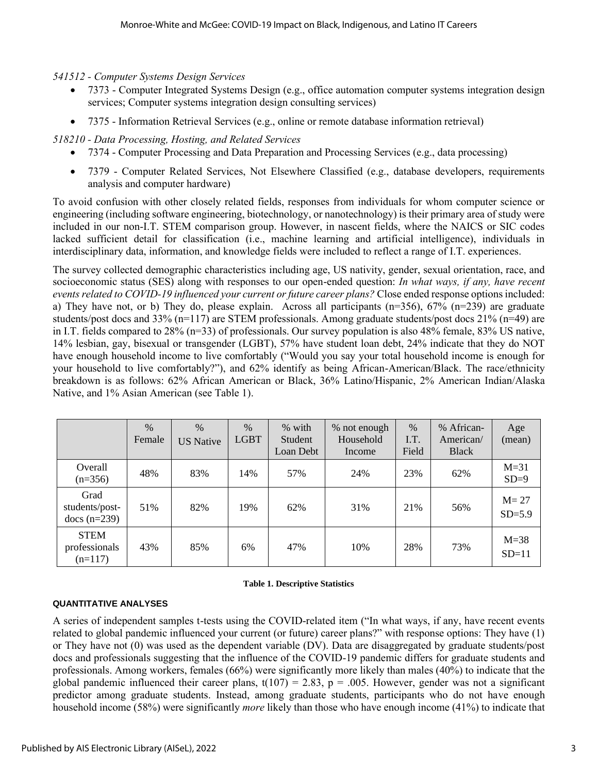*541512 - Computer Systems Design Services* 

- 7373 Computer Integrated Systems Design (e.g., office automation computer systems integration design services; Computer systems integration design consulting services)
- 7375 Information Retrieval Services (e.g., online or remote database information retrieval)

*518210 - Data Processing, Hosting, and Related Services*

- 7374 Computer Processing and Data Preparation and Processing Services (e.g., data processing)
- 7379 Computer Related Services, Not Elsewhere Classified (e.g., database developers, requirements analysis and computer hardware)

To avoid confusion with other closely related fields, responses from individuals for whom computer science or engineering (including software engineering, biotechnology, or nanotechnology) is their primary area of study were included in our non-I.T. STEM comparison group. However, in nascent fields, where the NAICS or SIC codes lacked sufficient detail for classification (i.e., machine learning and artificial intelligence), individuals in interdisciplinary data, information, and knowledge fields were included to reflect a range of I.T. experiences.

The survey collected demographic characteristics including age, US nativity, gender, sexual orientation, race, and socioeconomic status (SES) along with responses to our open-ended question: *In what ways, if any, have recent events related to COVID-19 influenced your current or future career plans?* Close ended response options included: a) They have not, or b) They do, please explain. Across all participants ( $n=356$ ),  $67\%$  ( $n=239$ ) are graduate students/post docs and 33% (n=117) are STEM professionals. Among graduate students/post docs 21% (n=49) are in I.T. fields compared to 28% (n=33) of professionals. Our survey population is also 48% female, 83% US native, 14% lesbian, gay, bisexual or transgender (LGBT), 57% have student loan debt, 24% indicate that they do NOT have enough household income to live comfortably ("Would you say your total household income is enough for your household to live comfortably?"), and 62% identify as being African-American/Black. The race/ethnicity breakdown is as follows: 62% African American or Black, 36% Latino/Hispanic, 2% American Indian/Alaska Native, and 1% Asian American (see Table 1).

|                                           | %<br>Female | $\%$<br><b>US Native</b> | $\%$<br><b>LGBT</b> | % with<br>Student<br>Loan Debt | % not enough<br>Household<br>Income | $\%$<br>I.T.<br>Field | % African-<br>American/<br><b>Black</b> | Age<br>(mean)        |
|-------------------------------------------|-------------|--------------------------|---------------------|--------------------------------|-------------------------------------|-----------------------|-----------------------------------------|----------------------|
| Overall<br>$(n=356)$                      | 48%         | 83%                      | 14%                 | 57%                            | 24%                                 | 23%                   | 62%                                     | $M=31$<br>$SD=9$     |
| Grad<br>students/post-<br>docs $(n=239)$  | 51%         | 82%                      | 19%                 | 62%                            | 31%                                 | 21%                   | 56%                                     | $M = 27$<br>$SD=5.9$ |
| <b>STEM</b><br>professionals<br>$(n=117)$ | 43%         | 85%                      | 6%                  | 47%                            | 10%                                 | 28%                   | 73%                                     | $M=38$<br>$SD=11$    |

#### **Table 1. Descriptive Statistics**

#### **QUANTITATIVE ANALYSES**

A series of independent samples t-tests using the COVID-related item ("In what ways, if any, have recent events related to global pandemic influenced your current (or future) career plans?" with response options: They have (1) or They have not (0) was used as the dependent variable (DV). Data are disaggregated by graduate students/post docs and professionals suggesting that the influence of the COVID-19 pandemic differs for graduate students and professionals. Among workers, females (66%) were significantly more likely than males (40%) to indicate that the global pandemic influenced their career plans,  $t(107) = 2.83$ ,  $p = .005$ . However, gender was not a significant predictor among graduate students. Instead, among graduate students, participants who do not have enough household income (58%) were significantly *more* likely than those who have enough income (41%) to indicate that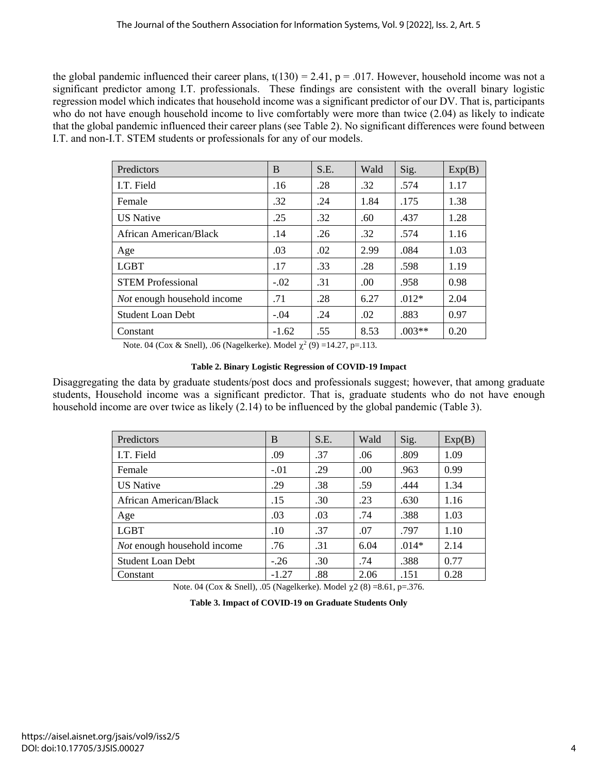the global pandemic influenced their career plans,  $t(130) = 2.41$ ,  $p = .017$ . However, household income was not a significant predictor among I.T. professionals. These findings are consistent with the overall binary logistic regression model which indicates that household income was a significant predictor of our DV. That is, participants who do not have enough household income to live comfortably were more than twice (2.04) as likely to indicate that the global pandemic influenced their career plans (see Table 2). No significant differences were found between I.T. and non-I.T. STEM students or professionals for any of our models.

| Predictors                  | B       | S.E. | Wald | Sig.     | Exp(B) |
|-----------------------------|---------|------|------|----------|--------|
| I.T. Field                  | .16     | .28  | .32  | .574     | 1.17   |
| Female                      | .32     | .24  | 1.84 | .175     | 1.38   |
| <b>US</b> Native            | .25     | .32  | .60  | .437     | 1.28   |
| African American/Black      | .14     | .26  | .32  | .574     | 1.16   |
| Age                         | .03     | .02  | 2.99 | .084     | 1.03   |
| <b>LGBT</b>                 | .17     | .33  | .28  | .598     | 1.19   |
| <b>STEM Professional</b>    | $-.02$  | .31  | .00. | .958     | 0.98   |
| Not enough household income | .71     | .28  | 6.27 | $.012*$  | 2.04   |
| <b>Student Loan Debt</b>    | $-.04$  | .24  | .02  | .883     | 0.97   |
| Constant                    | $-1.62$ | .55  | 8.53 | $.003**$ | 0.20   |

Note. 04 (Cox & Snell), .06 (Nagelkerke). Model  $\chi^2$  (9) =14.27, p=.113.

#### **Table 2. Binary Logistic Regression of COVID-19 Impact**

Disaggregating the data by graduate students/post docs and professionals suggest; however, that among graduate students, Household income was a significant predictor. That is, graduate students who do not have enough household income are over twice as likely (2.14) to be influenced by the global pandemic (Table 3).

| Predictors                  | B       | S.E. | Wald | Sig.    | Exp(B) |
|-----------------------------|---------|------|------|---------|--------|
| I.T. Field                  | .09     | .37  | .06  | .809    | 1.09   |
| Female                      | $-.01$  | .29  | .00  | .963    | 0.99   |
| <b>US</b> Native            | .29     | .38  | .59  | .444    | 1.34   |
| African American/Black      | .15     | .30  | .23  | .630    | 1.16   |
| Age                         | .03     | .03  | .74  | .388    | 1.03   |
| <b>LGBT</b>                 | .10     | .37  | .07  | .797    | 1.10   |
| Not enough household income | .76     | .31  | 6.04 | $.014*$ | 2.14   |
| <b>Student Loan Debt</b>    | $-.26$  | .30  | .74  | .388    | 0.77   |
| Constant                    | $-1.27$ | .88  | 2.06 | .151    | 0.28   |

Note. 04 (Cox & Snell), .05 (Nagelkerke). Model  $\chi$ 2 (8) =8.61, p=.376.

**Table 3. Impact of COVID-19 on Graduate Students Only**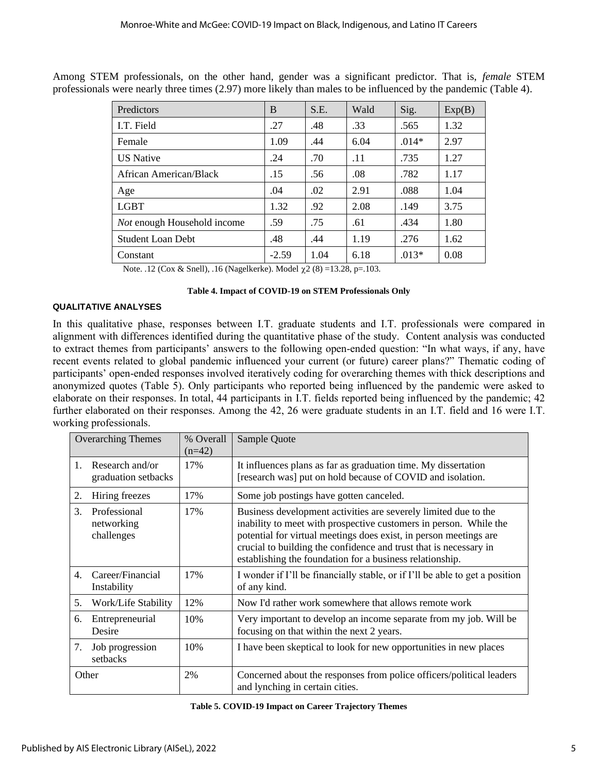| Predictors                         | B       | S.E. | Wald | Sig.    | Exp(B) |
|------------------------------------|---------|------|------|---------|--------|
| I.T. Field                         | .27     | .48  | .33  | .565    | 1.32   |
| Female                             | 1.09    | .44  | 6.04 | $.014*$ | 2.97   |
| <b>US Native</b>                   | .24     | .70  | .11  | .735    | 1.27   |
| African American/Black             | .15     | .56  | .08  | .782    | 1.17   |
| Age                                | .04     | .02  | 2.91 | .088    | 1.04   |
| <b>LGBT</b>                        | 1.32    | .92  | 2.08 | .149    | 3.75   |
| <i>Not</i> enough Household income | .59     | .75  | .61  | .434    | 1.80   |
| <b>Student Loan Debt</b>           | .48     | .44  | 1.19 | .276    | 1.62   |
| Constant                           | $-2.59$ | 1.04 | 6.18 | $.013*$ | 0.08   |

Among STEM professionals, on the other hand, gender was a significant predictor. That is, *female* STEM professionals were nearly three times (2.97) more likely than males to be influenced by the pandemic (Table 4).

Note. .12 (Cox & Snell), .16 (Nagelkerke). Model  $\chi$ 2 (8) =13.28, p=.103.

#### **Table 4. Impact of COVID-19 on STEM Professionals Only**

#### **QUALITATIVE ANALYSES**

In this qualitative phase, responses between I.T. graduate students and I.T. professionals were compared in alignment with differences identified during the quantitative phase of the study. Content analysis was conducted to extract themes from participants' answers to the following open-ended question: "In what ways, if any, have recent events related to global pandemic influenced your current (or future) career plans?" Thematic coding of participants' open-ended responses involved iteratively coding for overarching themes with thick descriptions and anonymized quotes (Table 5). Only participants who reported being influenced by the pandemic were asked to elaborate on their responses. In total, 44 participants in I.T. fields reported being influenced by the pandemic; 42 further elaborated on their responses. Among the 42, 26 were graduate students in an I.T. field and 16 were I.T. working professionals.

| <b>Overarching Themes</b> |                                          | % Overall<br>$(n=42)$ | Sample Quote                                                                                                                                                                                                                                                                                                                               |
|---------------------------|------------------------------------------|-----------------------|--------------------------------------------------------------------------------------------------------------------------------------------------------------------------------------------------------------------------------------------------------------------------------------------------------------------------------------------|
| $1_{-}$                   | Research and/or<br>graduation setbacks   | 17%                   | It influences plans as far as graduation time. My dissertation<br>[research was] put on hold because of COVID and isolation.                                                                                                                                                                                                               |
| 2.                        | Hiring freezes                           | 17%                   | Some job postings have gotten canceled.                                                                                                                                                                                                                                                                                                    |
| 3.                        | Professional<br>networking<br>challenges | 17%                   | Business development activities are severely limited due to the<br>inability to meet with prospective customers in person. While the<br>potential for virtual meetings does exist, in person meetings are<br>crucial to building the confidence and trust that is necessary in<br>establishing the foundation for a business relationship. |
| $\mathbf{4}$ .            | Career/Financial<br>Instability          | 17%                   | I wonder if I'll be financially stable, or if I'll be able to get a position<br>of any kind.                                                                                                                                                                                                                                               |
| 5.                        | Work/Life Stability                      | 12%                   | Now I'd rather work somewhere that allows remote work                                                                                                                                                                                                                                                                                      |
| 6.                        | Entrepreneurial<br>Desire                | 10%                   | Very important to develop an income separate from my job. Will be<br>focusing on that within the next 2 years.                                                                                                                                                                                                                             |
| 7.                        | Job progression<br>setbacks              | 10%                   | I have been skeptical to look for new opportunities in new places                                                                                                                                                                                                                                                                          |
|                           | Other                                    | 2%                    | Concerned about the responses from police officers/political leaders<br>and lynching in certain cities.                                                                                                                                                                                                                                    |

| Table 5. COVID-19 Impact on Career Trajectory Themes |  |
|------------------------------------------------------|--|
|------------------------------------------------------|--|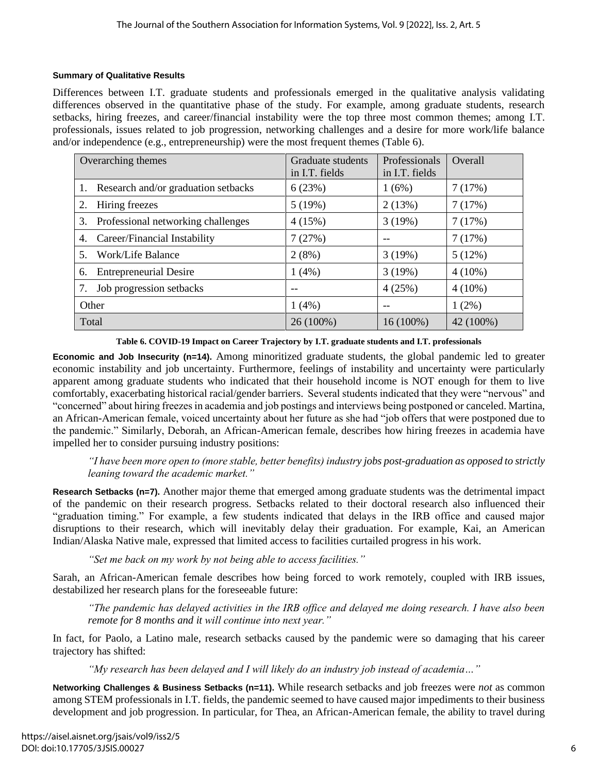#### **Summary of Qualitative Results**

Differences between I.T. graduate students and professionals emerged in the qualitative analysis validating differences observed in the quantitative phase of the study. For example, among graduate students, research setbacks, hiring freezes, and career/financial instability were the top three most common themes; among I.T. professionals, issues related to job progression, networking challenges and a desire for more work/life balance and/or independence (e.g., entrepreneurship) were the most frequent themes (Table 6).

| Overarching themes                       | Graduate students<br>in I.T. fields | Professionals<br>in I.T. fields | Overall   |
|------------------------------------------|-------------------------------------|---------------------------------|-----------|
| 1. Research and/or graduation setbacks   | 6(23%)                              | 1(6%)                           | 7(17%)    |
| Hiring freezes<br>2.                     | 5(19%)                              | 2(13%)                          | 7(17%)    |
| Professional networking challenges<br>3. | 4(15%)                              | 3(19%)                          | 7(17%)    |
| Career/Financial Instability<br>4.       | 7(27%)                              |                                 | 7(17%)    |
| Work/Life Balance<br>5.                  | 2(8%)                               | 3(19%)                          | 5(12%)    |
| <b>Entrepreneurial Desire</b><br>6.      | 1(4%)                               | 3(19%)                          | $4(10\%)$ |
| Job progression setbacks                 | --                                  | 4(25%)                          | $4(10\%)$ |
| Other                                    | 1(4%)                               |                                 | $1(2\%)$  |
| Total                                    | 26 (100%)                           | $16(100\%)$                     | 42 (100%) |

**Table 6. COVID-19 Impact on Career Trajectory by I.T. graduate students and I.T. professionals**

**Economic and Job Insecurity (n=14).** Among minoritized graduate students, the global pandemic led to greater economic instability and job uncertainty. Furthermore, feelings of instability and uncertainty were particularly apparent among graduate students who indicated that their household income is NOT enough for them to live comfortably, exacerbating historical racial/gender barriers. Several students indicated that they were "nervous" and "concerned" about hiring freezes in academia and job postings and interviews being postponed or canceled. Martina, an African-American female, voiced uncertainty about her future as she had "job offers that were postponed due to the pandemic." Similarly, Deborah, an African-American female, describes how hiring freezes in academia have impelled her to consider pursuing industry positions:

*"I have been more open to (more stable, better benefits) industry jobs post-graduation as opposed to strictly leaning toward the academic market."*

**Research Setbacks (n=7).** Another major theme that emerged among graduate students was the detrimental impact of the pandemic on their research progress. Setbacks related to their doctoral research also influenced their "graduation timing." For example, a few students indicated that delays in the IRB office and caused major disruptions to their research, which will inevitably delay their graduation. For example, Kai, an American Indian/Alaska Native male, expressed that limited access to facilities curtailed progress in his work.

*"Set me back on my work by not being able to access facilities."*

Sarah, an African-American female describes how being forced to work remotely, coupled with IRB issues, destabilized her research plans for the foreseeable future:

*"The pandemic has delayed activities in the IRB office and delayed me doing research. I have also been remote for 8 months and it will continue into next year."* 

In fact, for Paolo, a Latino male, research setbacks caused by the pandemic were so damaging that his career trajectory has shifted:

*"My research has been delayed and I will likely do an industry job instead of academia…"* 

**Networking Challenges & Business Setbacks (n=11).** While research setbacks and job freezes were *not* as common among STEM professionals in I.T. fields, the pandemic seemed to have caused major impediments to their business development and job progression. In particular, for Thea, an African-American female, the ability to travel during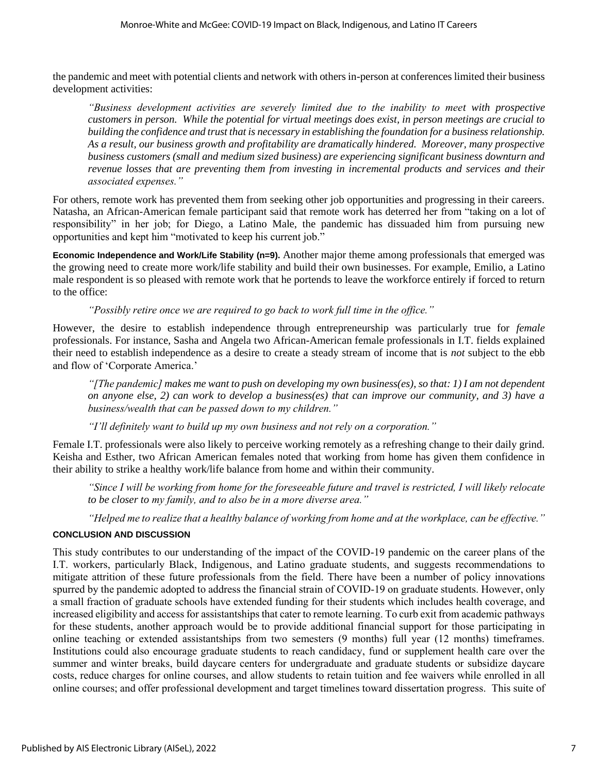the pandemic and meet with potential clients and network with others in-person at conferences limited their business development activities:

*"Business development activities are severely limited due to the inability to meet with prospective customers in person. While the potential for virtual meetings does exist, in person meetings are crucial to building the confidence and trust that is necessary in establishing the foundation for a business relationship. As a result, our business growth and profitability are dramatically hindered. Moreover, many prospective business customers (small and medium sized business) are experiencing significant business downturn and revenue losses that are preventing them from investing in incremental products and services and their associated expenses."*

For others, remote work has prevented them from seeking other job opportunities and progressing in their careers. Natasha, an African-American female participant said that remote work has deterred her from "taking on a lot of responsibility" in her job; for Diego, a Latino Male, the pandemic has dissuaded him from pursuing new opportunities and kept him "motivated to keep his current job."

**Economic Independence and Work/Life Stability (n=9).** Another major theme among professionals that emerged was the growing need to create more work/life stability and build their own businesses. For example, Emilio, a Latino male respondent is so pleased with remote work that he portends to leave the workforce entirely if forced to return to the office:

*"Possibly retire once we are required to go back to work full time in the office."*

However, the desire to establish independence through entrepreneurship was particularly true for *female* professionals. For instance, Sasha and Angela two African-American female professionals in I.T. fields explained their need to establish independence as a desire to create a steady stream of income that is *not* subject to the ebb and flow of 'Corporate America.'

*"[The pandemic] makes me want to push on developing my own business(es), so that: 1) I am not dependent on anyone else, 2) can work to develop a business(es) that can improve our community, and 3) have a business/wealth that can be passed down to my children."*

*"I'll definitely want to build up my own business and not rely on a corporation."* 

Female I.T. professionals were also likely to perceive working remotely as a refreshing change to their daily grind. Keisha and Esther, two African American females noted that working from home has given them confidence in their ability to strike a healthy work/life balance from home and within their community.

*"Since I will be working from home for the foreseeable future and travel is restricted, I will likely relocate to be closer to my family, and to also be in a more diverse area."*

*"Helped me to realize that a healthy balance of working from home and at the workplace, can be effective."*

#### **CONCLUSION AND DISCUSSION**

This study contributes to our understanding of the impact of the COVID-19 pandemic on the career plans of the I.T. workers, particularly Black, Indigenous, and Latino graduate students, and suggests recommendations to mitigate attrition of these future professionals from the field. There have been a number of policy innovations spurred by the pandemic adopted to address the financial strain of COVID-19 on graduate students. However, only a small fraction of graduate schools have extended funding for their students which includes health coverage, and increased eligibility and access for assistantships that cater to remote learning. To curb exit from academic pathways for these students, another approach would be to provide additional financial support for those participating in online teaching or extended assistantships from two semesters (9 months) full year (12 months) timeframes. Institutions could also encourage graduate students to reach candidacy, fund or supplement health care over the summer and winter breaks, build daycare centers for undergraduate and graduate students or subsidize daycare costs, reduce charges for online courses, and allow students to retain tuition and fee waivers while enrolled in all online courses; and offer professional development and target timelines toward dissertation progress. This suite of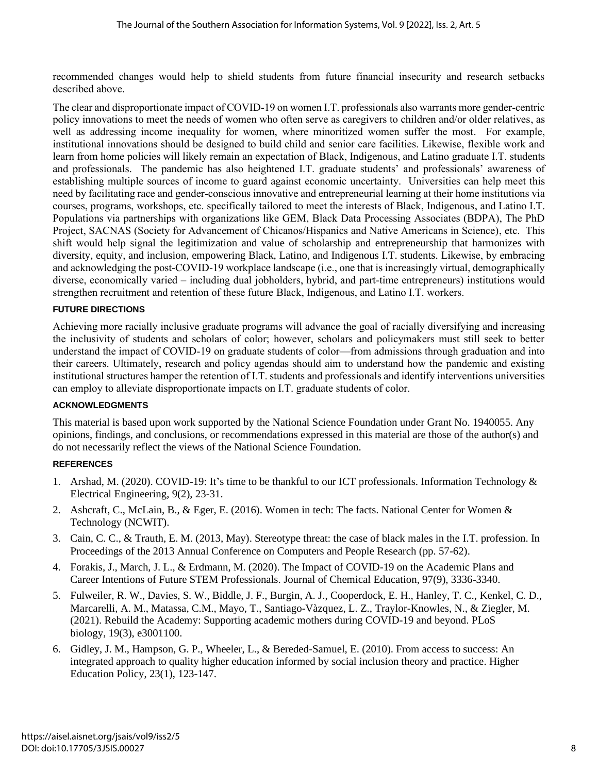recommended changes would help to shield students from future financial insecurity and research setbacks described above.

The clear and disproportionate impact of COVID-19 on women I.T. professionals also warrants more gender-centric policy innovations to meet the needs of women who often serve as caregivers to children and/or older relatives, as well as addressing income inequality for women, where minoritized women suffer the most. For example, institutional innovations should be designed to build child and senior care facilities. Likewise, flexible work and learn from home policies will likely remain an expectation of Black, Indigenous, and Latino graduate I.T. students and professionals. The pandemic has also heightened I.T. graduate students' and professionals' awareness of establishing multiple sources of income to guard against economic uncertainty. Universities can help meet this need by facilitating race and gender-conscious innovative and entrepreneurial learning at their home institutions via courses, programs, workshops, etc. specifically tailored to meet the interests of Black, Indigenous, and Latino I.T. Populations via partnerships with organizations like GEM, Black Data Processing Associates (BDPA), The PhD Project, SACNAS (Society for Advancement of Chicanos/Hispanics and Native Americans in Science), etc. This shift would help signal the legitimization and value of scholarship and entrepreneurship that harmonizes with diversity, equity, and inclusion, empowering Black, Latino, and Indigenous I.T. students. Likewise, by embracing and acknowledging the post-COVID-19 workplace landscape (i.e., one that is increasingly virtual, demographically diverse, economically varied – including dual jobholders, hybrid, and part-time entrepreneurs) institutions would strengthen recruitment and retention of these future Black, Indigenous, and Latino I.T. workers.

#### **FUTURE DIRECTIONS**

Achieving more racially inclusive graduate programs will advance the goal of racially diversifying and increasing the inclusivity of students and scholars of color; however, scholars and policymakers must still seek to better understand the impact of COVID-19 on graduate students of color—from admissions through graduation and into their careers. Ultimately, research and policy agendas should aim to understand how the pandemic and existing institutional structures hamper the retention of I.T. students and professionals and identify interventions universities can employ to alleviate disproportionate impacts on I.T. graduate students of color.

#### **ACKNOWLEDGMENTS**

This material is based upon work supported by the National Science Foundation under Grant No. 1940055. Any opinions, findings, and conclusions, or recommendations expressed in this material are those of the author(s) and do not necessarily reflect the views of the National Science Foundation.

#### **REFERENCES**

- 1. Arshad, M. (2020). COVID-19: It's time to be thankful to our ICT professionals. Information Technology & Electrical Engineering, 9(2), 23-31.
- 2. Ashcraft, C., McLain, B., & Eger, E. (2016). Women in tech: The facts. National Center for Women & Technology (NCWIT).
- 3. Cain, C. C., & Trauth, E. M. (2013, May). Stereotype threat: the case of black males in the I.T. profession. In Proceedings of the 2013 Annual Conference on Computers and People Research (pp. 57-62).
- 4. Forakis, J., March, J. L., & Erdmann, M. (2020). The Impact of COVID-19 on the Academic Plans and Career Intentions of Future STEM Professionals. Journal of Chemical Education, 97(9), 3336-3340.
- 5. Fulweiler, R. W., Davies, S. W., Biddle, J. F., Burgin, A. J., Cooperdock, E. H., Hanley, T. C., Kenkel, C. D., Marcarelli, A. M., Matassa, C.M., Mayo, T., Santiago-Vàzquez, L. Z., Traylor-Knowles, N., & Ziegler, M. (2021). Rebuild the Academy: Supporting academic mothers during COVID-19 and beyond. PLoS biology, 19(3), e3001100.
- 6. Gidley, J. M., Hampson, G. P., Wheeler, L., & Bereded-Samuel, E. (2010). From access to success: An integrated approach to quality higher education informed by social inclusion theory and practice. Higher Education Policy, 23(1), 123-147.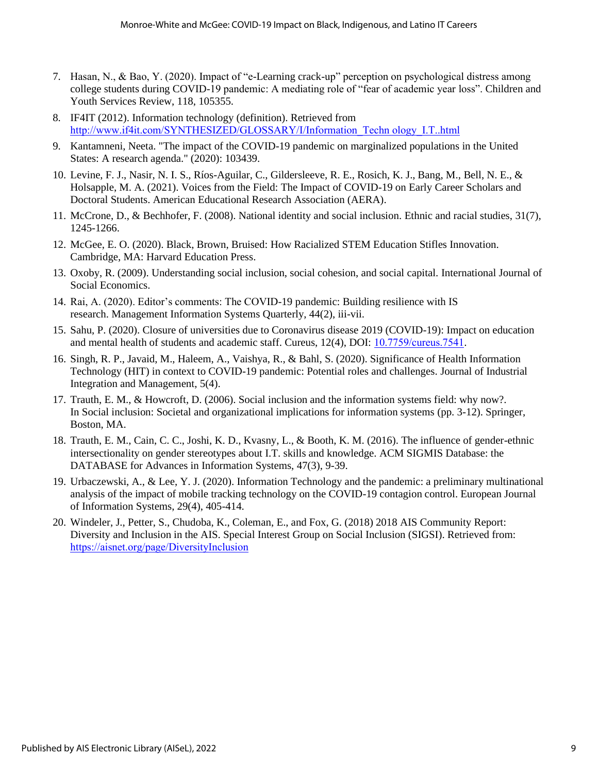- 7. Hasan, N., & Bao, Y. (2020). Impact of "e-Learning crack-up" perception on psychological distress among college students during COVID-19 pandemic: A mediating role of "fear of academic year loss". Children and Youth Services Review, 118, 105355.
- 8. IF4IT (2012). Information technology (definition). Retrieved from [http://www.if4it.com/SYNTHESIZED/GLOSSARY/I/Information\\_Techn ology\\_I.T..html](http://www.if4it.com/SYNTHESIZED/GLOSSARY/I/Information_Techn%20ology_IT.html)
- 9. Kantamneni, Neeta. "The impact of the COVID-19 pandemic on marginalized populations in the United States: A research agenda." (2020): 103439.
- 10. Levine, F. J., Nasir, N. I. S., Ríos-Aguilar, C., Gildersleeve, R. E., Rosich, K. J., Bang, M., Bell, N. E., & Holsapple, M. A. (2021). Voices from the Field: The Impact of COVID-19 on Early Career Scholars and Doctoral Students. American Educational Research Association (AERA).
- 11. McCrone, D., & Bechhofer, F. (2008). National identity and social inclusion. Ethnic and racial studies, 31(7), 1245-1266.
- 12. McGee, E. O. (2020). Black, Brown, Bruised: How Racialized STEM Education Stifles Innovation. Cambridge, MA: Harvard Education Press.
- 13. Oxoby, R. (2009). Understanding social inclusion, social cohesion, and social capital. International Journal of Social Economics.
- 14. Rai, A. (2020). Editor's comments: The COVID-19 pandemic: Building resilience with IS research. Management Information Systems Quarterly, 44(2), iii-vii.
- 15. Sahu, P. (2020). Closure of universities due to Coronavirus disease 2019 (COVID-19): Impact on education and mental health of students and academic staff. Cureus, 12(4), DOI: [10.7759/cureus.7541](https://www.researchgate.net/deref/http%3A%2F%2Fdx.doi.org%2F10.7759%2Fcureus.7541?_sg%5B0%5D=3YaWD2hpABMH8lkXPhFKSPH3-yLg0bcoWhYpP2oYyS6v1yFTXkG0bs7WRiSCRdVnmJ9-6mSJ4U-C3qdqE7neDHbk1Q.abGECGu-jUDAsqlvyGoL-0cGJugd1-T-Xv7WAaqQOhWehdiPIKkV7VrKDX1l3TFjZcUD6xtQ3G-pa3OTjW-3hQ).
- 16. Singh, R. P., Javaid, M., Haleem, A., Vaishya, R., & Bahl, S. (2020). Significance of Health Information Technology (HIT) in context to COVID-19 pandemic: Potential roles and challenges. Journal of Industrial Integration and Management, 5(4).
- 17. Trauth, E. M., & Howcroft, D. (2006). Social inclusion and the information systems field: why now?. In Social inclusion: Societal and organizational implications for information systems (pp. 3-12). Springer, Boston, MA.
- 18. Trauth, E. M., Cain, C. C., Joshi, K. D., Kvasny, L., & Booth, K. M. (2016). The influence of gender-ethnic intersectionality on gender stereotypes about I.T. skills and knowledge. ACM SIGMIS Database: the DATABASE for Advances in Information Systems, 47(3), 9-39.
- 19. Urbaczewski, A., & Lee, Y. J. (2020). Information Technology and the pandemic: a preliminary multinational analysis of the impact of mobile tracking technology on the COVID-19 contagion control. European Journal of Information Systems, 29(4), 405-414.
- 20. Windeler, J., Petter, S., Chudoba, K., Coleman, E., and Fox, G. (2018) 2018 AIS Community Report: Diversity and Inclusion in the AIS. Special Interest Group on Social Inclusion (SIGSI). Retrieved from: <https://aisnet.org/page/DiversityInclusion>